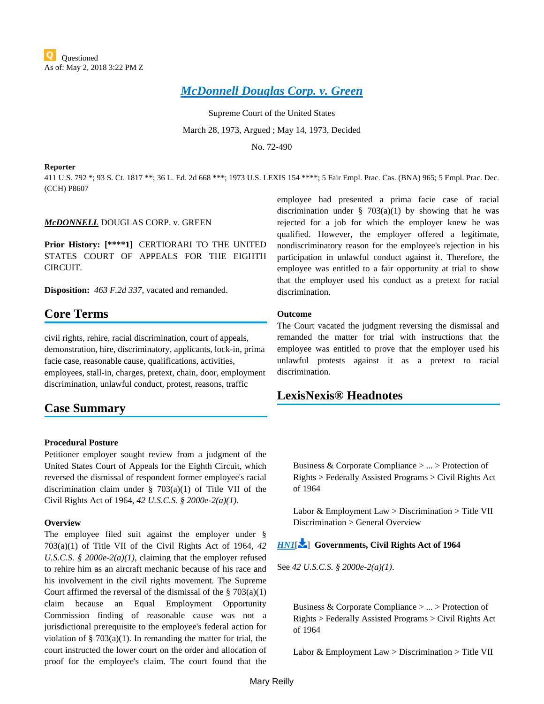# *[McDonnell Douglas Corp. v. Green](https://advance.lexis.com/api/document?collection=cases&id=urn:contentItem:3S4X-CVH0-003B-S2WK-00000-00&context=)*

Supreme Court of the United States March 28, 1973, Argued ; May 14, 1973, Decided

No. 72-490

#### **Reporter**

411 U.S. 792 \*; 93 S. Ct. 1817 \*\*; 36 L. Ed. 2d 668 \*\*\*; 1973 U.S. LEXIS 154 \*\*\*\*; 5 Fair Empl. Prac. Cas. (BNA) 965; 5 Empl. Prac. Dec. (CCH) P8607

### *McDONNELL* DOUGLAS CORP. v. GREEN

**Prior History: [\*\*\*\*1]** CERTIORARI TO THE UNITED STATES COURT OF APPEALS FOR THE EIGHTH CIRCUIT.

**Disposition:** *463 F.2d 337*, vacated and remanded.

# **Core Terms**

civil rights, rehire, racial discrimination, court of appeals, demonstration, hire, discriminatory, applicants, lock-in, prima facie case, reasonable cause, qualifications, activities, employees, stall-in, charges, pretext, chain, door, employment discrimination, unlawful conduct, protest, reasons, traffic

# **Case Summary**

#### **Procedural Posture**

Petitioner employer sought review from a judgment of the United States Court of Appeals for the Eighth Circuit, which reversed the dismissal of respondent former employee's racial discrimination claim under § 703(a)(1) of Title VII of the Civil Rights Act of 1964, *42 U.S.C.S. § 2000e-2(a)(1)*.

#### **Overview**

The employee filed suit against the employer under § 703(a)(1) of Title VII of the Civil Rights Act of 1964, *42 U.S.C.S. § 2000e-2(a)(1)*, claiming that the employer refused to rehire him as an aircraft mechanic because of his race and his involvement in the civil rights movement. The Supreme Court affirmed the reversal of the dismissal of the  $\S 703(a)(1)$ claim because an Equal Employment Opportunity Commission finding of reasonable cause was not a jurisdictional prerequisite to the employee's federal action for violation of  $\S$  703(a)(1). In remanding the matter for trial, the court instructed the lower court on the order and allocation of proof for the employee's claim. The court found that the

employee had presented a prima facie case of racial discrimination under  $\S$  703(a)(1) by showing that he was rejected for a job for which the employer knew he was qualified. However, the employer offered a legitimate, nondiscriminatory reason for the employee's rejection in his participation in unlawful conduct against it. Therefore, the employee was entitled to a fair opportunity at trial to show that the employer used his conduct as a pretext for racial discrimination.

#### **Outcome**

The Court vacated the judgment reversing the dismissal and remanded the matter for trial with instructions that the employee was entitled to prove that the employer used his unlawful protests against it as a pretext to racial discrimination.

# **LexisNexis® Headnotes**

Business & Corporate Compliance > ... > Protection of Rights > Federally Assisted Programs > Civil Rights Act of 1964

Labor & Employment Law > Discrimination > Title VII Discrimination > General Overview

## *[HN1](https://advance.lexis.com/api/document?collection=cases&id=urn:contentItem:3S4X-CVH0-003B-S2WK-00000-00&context=&link=LNHNREFclscc1)*[\[](#page-7-0) ] **Governments, Civil Rights Act of 1964**

See *42 U.S.C.S. § 2000e-2(a)(1)*.

Business & Corporate Compliance > ... > Protection of Rights > Federally Assisted Programs > Civil Rights Act of 1964

Labor & Employment Law > Discrimination > Title VII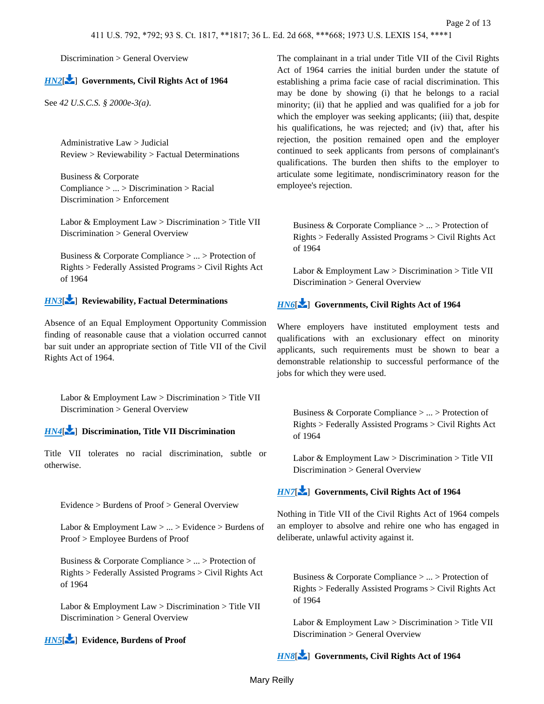# *[HN2](https://advance.lexis.com/api/document?collection=cases&id=urn:contentItem:3S4X-CVH0-003B-S2WK-00000-00&context=&link=LNHNREFclscc2)*[\[](#page-8-0) ] **Governments, Civil Rights Act of 1964**

See *42 U.S.C.S. § 2000e-3(a)*.

Administrative Law > Judicial Review > Reviewability > Factual Determinations

Business & Corporate Compliance > ... > Discrimination > Racial Discrimination > Enforcement

Labor & Employment Law > Discrimination > Title VII Discrimination > General Overview

Business & Corporate Compliance > ... > Protection of Rights > Federally Assisted Programs > Civil Rights Act of 1964

# *[HN3](https://advance.lexis.com/api/document?collection=cases&id=urn:contentItem:3S4X-CVH0-003B-S2WK-00000-00&context=&link=LNHNREFclscc3)*[\[](#page-8-1) ] **Reviewability, Factual Determinations**

Absence of an Equal Employment Opportunity Commission finding of reasonable cause that a violation occurred cannot bar suit under an appropriate section of Title VII of the Civil Rights Act of 1964.

<span id="page-1-0"></span>Labor & Employment Law > Discrimination > Title VII Discrimination > General Overview

# *[HN4](https://advance.lexis.com/api/document?collection=cases&id=urn:contentItem:3S4X-CVH0-003B-S2WK-00000-00&context=&link=LNHNREFclscc4)*[\[](#page-9-0) ] **Discrimination, Title VII Discrimination**

<span id="page-1-1"></span>Title VII tolerates no racial discrimination, subtle or otherwise.

Evidence > Burdens of Proof > General Overview

Labor & Employment Law  $> ... >$  Evidence  $>$  Burdens of Proof > Employee Burdens of Proof

Business & Corporate Compliance > ... > Protection of Rights > Federally Assisted Programs > Civil Rights Act of 1964

Labor & Employment Law > Discrimination > Title VII Discrimination > General Overview

# *[HN5](https://advance.lexis.com/api/document?collection=cases&id=urn:contentItem:3S4X-CVH0-003B-S2WK-00000-00&context=&link=LNHNREFclscc5)*[\[](#page-9-1) ] **Evidence, Burdens of Proof**

The complainant in a trial under Title VII of the Civil Rights Act of 1964 carries the initial burden under the statute of establishing a prima facie case of racial discrimination. This may be done by showing (i) that he belongs to a racial minority; (ii) that he applied and was qualified for a job for which the employer was seeking applicants; (iii) that, despite his qualifications, he was rejected; and (iv) that, after his rejection, the position remained open and the employer continued to seek applicants from persons of complainant's qualifications. The burden then shifts to the employer to articulate some legitimate, nondiscriminatory reason for the employee's rejection.

<span id="page-1-3"></span>Business & Corporate Compliance > ... > Protection of Rights > Federally Assisted Programs > Civil Rights Act of 1964

Labor & Employment Law > Discrimination > Title VII Discrimination > General Overview

# *[HN6](https://advance.lexis.com/api/document?collection=cases&id=urn:contentItem:3S4X-CVH0-003B-S2WK-00000-00&context=&link=LNHNREFclscc6)*[\[](#page-10-0) ] **Governments, Civil Rights Act of 1964**

Where employers have instituted employment tests and qualifications with an exclusionary effect on minority applicants, such requirements must be shown to bear a demonstrable relationship to successful performance of the jobs for which they were used.

<span id="page-1-2"></span>Business & Corporate Compliance > ... > Protection of Rights > Federally Assisted Programs > Civil Rights Act of 1964

Labor & Employment Law > Discrimination > Title VII Discrimination > General Overview

# *[HN7](https://advance.lexis.com/api/document?collection=cases&id=urn:contentItem:3S4X-CVH0-003B-S2WK-00000-00&context=&link=LNHNREFclscc7)*[\[](#page-10-1) ] **Governments, Civil Rights Act of 1964**

Nothing in Title VII of the Civil Rights Act of 1964 compels an employer to absolve and rehire one who has engaged in deliberate, unlawful activity against it.

Business & Corporate Compliance > ... > Protection of Rights > Federally Assisted Programs > Civil Rights Act of 1964

Labor & Employment Law > Discrimination > Title VII Discrimination > General Overview

*[HN8](https://advance.lexis.com/api/document?collection=cases&id=urn:contentItem:3S4X-CVH0-003B-S2WK-00000-00&context=&link=LNHNREFclscc8)*[\[](#page-10-2) ] **Governments, Civil Rights Act of 1964**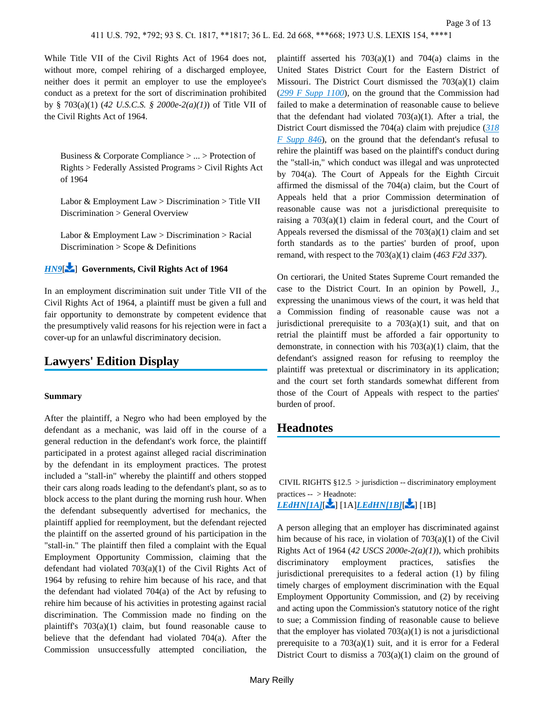While Title VII of the Civil Rights Act of 1964 does not, without more, compel rehiring of a discharged employee, neither does it permit an employer to use the employee's conduct as a pretext for the sort of discrimination prohibited by § 703(a)(1) (*42 U.S.C.S. § 2000e-2(a)(1)*) of Title VII of the Civil Rights Act of 1964.

<span id="page-2-0"></span>Business & Corporate Compliance > ... > Protection of Rights > Federally Assisted Programs > Civil Rights Act of 1964

Labor & Employment Law > Discrimination > Title VII Discrimination > General Overview

Labor & Employment Law  $>$  Discrimination  $>$  Racial Discrimination > Scope & Definitions

## *[HN9](https://advance.lexis.com/api/document?collection=cases&id=urn:contentItem:3S4X-CVH0-003B-S2WK-00000-00&context=&link=LNHNREFclscc9)*[\[](#page-11-0) ] **Governments, Civil Rights Act of 1964**

In an employment discrimination suit under Title VII of the Civil Rights Act of 1964, a plaintiff must be given a full and fair opportunity to demonstrate by competent evidence that the presumptively valid reasons for his rejection were in fact a cover-up for an unlawful discriminatory decision.

# **Lawyers' Edition Display**

#### **Summary**

After the plaintiff, a Negro who had been employed by the defendant as a mechanic, was laid off in the course of a general reduction in the defendant's work force, the plaintiff participated in a protest against alleged racial discrimination by the defendant in its employment practices. The protest included a "stall-in" whereby the plaintiff and others stopped their cars along roads leading to the defendant's plant, so as to block access to the plant during the morning rush hour. When the defendant subsequently advertised for mechanics, the plaintiff applied for reemployment, but the defendant rejected the plaintiff on the asserted ground of his participation in the "stall-in." The plaintiff then filed a complaint with the Equal Employment Opportunity Commission, claiming that the defendant had violated 703(a)(1) of the Civil Rights Act of 1964 by refusing to rehire him because of his race, and that the defendant had violated 704(a) of the Act by refusing to rehire him because of his activities in protesting against racial discrimination. The Commission made no finding on the plaintiff's 703(a)(1) claim, but found reasonable cause to believe that the defendant had violated 704(a). After the Commission unsuccessfully attempted conciliation, the

plaintiff asserted his  $703(a)(1)$  and  $704(a)$  claims in the United States District Court for the Eastern District of Missouri. The District Court dismissed the 703(a)(1) claim (*[299 F Supp 1100](https://advance.lexis.com/api/document?collection=cases&id=urn:contentItem:3S4V-MKB0-0054-83DS-00000-00&context=)*), on the ground that the Commission had failed to make a determination of reasonable cause to believe that the defendant had violated  $703(a)(1)$ . After a trial, the District Court dismissed the 704(a) claim with prejudice (*[318](https://advance.lexis.com/api/document?collection=cases&id=urn:contentItem:3S4V-RMN0-003B-30C8-00000-00&context=)  [F Supp 846](https://advance.lexis.com/api/document?collection=cases&id=urn:contentItem:3S4V-RMN0-003B-30C8-00000-00&context=)*), on the ground that the defendant's refusal to rehire the plaintiff was based on the plaintiff's conduct during the "stall-in," which conduct was illegal and was unprotected by 704(a). The Court of Appeals for the Eighth Circuit affirmed the dismissal of the 704(a) claim, but the Court of Appeals held that a prior Commission determination of reasonable cause was not a jurisdictional prerequisite to raising a 703(a)(1) claim in federal court, and the Court of Appeals reversed the dismissal of the  $703(a)(1)$  claim and set forth standards as to the parties' burden of proof, upon remand, with respect to the 703(a)(1) claim (*463 F2d 337*).

On certiorari, the United States Supreme Court remanded the case to the District Court. In an opinion by Powell, J., expressing the unanimous views of the court, it was held that a Commission finding of reasonable cause was not a jurisdictional prerequisite to a  $703(a)(1)$  suit, and that on retrial the plaintiff must be afforded a fair opportunity to demonstrate, in connection with his  $703(a)(1)$  claim, that the defendant's assigned reason for refusing to reemploy the plaintiff was pretextual or discriminatory in its application; and the court set forth standards somewhat different from those of the Court of Appeals with respect to the parties' burden of proof.

# **Headnotes**

 CIVIL RIGHTS §12.5 > jurisdiction -- discriminatory employment practices -- > Headnote:

*[LEdHN\[1A\]](https://advance.lexis.com/api/document?collection=cases&id=urn:contentItem:3S4X-CVH0-003B-S2WK-00000-00&context=&link=LEDHN1_1)*[\[](#page-8-2) ] [1A]*[LEdHN\[1B\]](https://advance.lexis.com/api/document?collection=cases&id=urn:contentItem:3S4X-CVH0-003B-S2WK-00000-00&context=&link=LEDHN1_2)*[ [\]](#page-11-1) [1B]

A person alleging that an employer has discriminated against him because of his race, in violation of 703(a)(1) of the Civil Rights Act of 1964 (*42 USCS 2000e-2(a)(1)*), which prohibits discriminatory employment practices, satisfies the jurisdictional prerequisites to a federal action (1) by filing timely charges of employment discrimination with the Equal Employment Opportunity Commission, and (2) by receiving and acting upon the Commission's statutory notice of the right to sue; a Commission finding of reasonable cause to believe that the employer has violated  $703(a)(1)$  is not a jurisdictional prerequisite to a 703(a)(1) suit, and it is error for a Federal District Court to dismiss a  $703(a)(1)$  claim on the ground of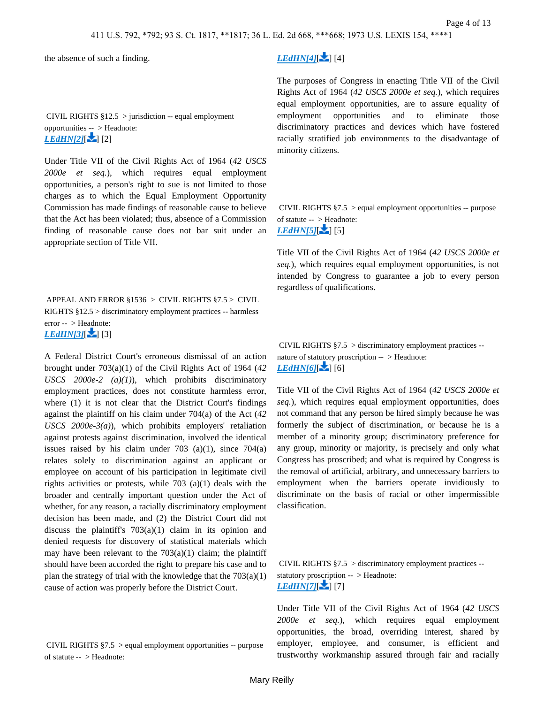the absence of such a finding.

 CIVIL RIGHTS §12.5 > jurisdiction -- equal employment opportunities -- > Headnote: *[LEdHN\[2\]](https://advance.lexis.com/api/document?collection=cases&id=urn:contentItem:3S4X-CVH0-003B-S2WK-00000-00&context=&link=LEDHN2_1)***[ 2]** [2]

Under Title VII of the Civil Rights Act of 1964 (*42 USCS 2000e et seq.*), which requires equal employment opportunities, a person's right to sue is not limited to those charges as to which the Equal Employment Opportunity Commission has made findings of reasonable cause to believe that the Act has been violated; thus, absence of a Commission finding of reasonable cause does not bar suit under an appropriate section of Title VII.

<span id="page-3-0"></span> APPEAL AND ERROR §1536 > CIVIL RIGHTS §7.5 > CIVIL RIGHTS §12.5 > discriminatory employment practices -- harmless error -- > Headnote:  $LEdH N[3]$ [3]

A Federal District Court's erroneous dismissal of an action brought under 703(a)(1) of the Civil Rights Act of 1964 (*42 USCS 2000e-2 (a)(1)*), which prohibits discriminatory employment practices, does not constitute harmless error, where (1) it is not clear that the District Court's findings against the plaintiff on his claim under 704(a) of the Act (*42 USCS 2000e-3(a)*), which prohibits employers' retaliation against protests against discrimination, involved the identical issues raised by his claim under  $703$  (a)(1), since  $704(a)$ relates solely to discrimination against an applicant or employee on account of his participation in legitimate civil rights activities or protests, while 703 (a)(1) deals with the broader and centrally important question under the Act of whether, for any reason, a racially discriminatory employment decision has been made, and (2) the District Court did not discuss the plaintiff's 703(a)(1) claim in its opinion and denied requests for discovery of statistical materials which may have been relevant to the  $703(a)(1)$  claim; the plaintiff should have been accorded the right to prepare his case and to plan the strategy of trial with the knowledge that the  $703(a)(1)$ cause of action was properly before the District Court.

<span id="page-3-1"></span> CIVIL RIGHTS §7.5 > equal employment opportunities -- purpose of statute -- > Headnote:

# $LEdHN[4][$  $LEdHN[4][$  [4]

The purposes of Congress in enacting Title VII of the Civil Rights Act of 1964 (*42 USCS 2000e et seq.*), which requires equal employment opportunities, are to assure equality of employment opportunities and to eliminate those discriminatory practices and devices which have fostered racially stratified job environments to the disadvantage of minority citizens.

 CIVIL RIGHTS §7.5 > equal employment opportunities -- purpose of statute -- > Headnote:  $LEdH N[5]$ [5]

Title VII of the Civil Rights Act of 1964 (*42 USCS 2000e et seq.*), which requires equal employment opportunities, is not intended by Congress to guarantee a job to every person regardless of qualifications.

 CIVIL RIGHTS §7.5 > discriminatory employment practices - nature of statutory proscription -- > Headnote: *[LEdHN\[6\]](https://advance.lexis.com/api/document?collection=cases&id=urn:contentItem:3S4X-CVH0-003B-S2WK-00000-00&context=&link=LEDHN6_1)*[ - 1 [6]

Title VII of the Civil Rights Act of 1964 (*42 USCS 2000e et seq.*), which requires equal employment opportunities, does not command that any person be hired simply because he was formerly the subject of discrimination, or because he is a member of a minority group; discriminatory preference for any group, minority or majority, is precisely and only what Congress has proscribed; and what is required by Congress is the removal of artificial, arbitrary, and unnecessary barriers to employment when the barriers operate invidiously to discriminate on the basis of racial or other impermissible classification.

<span id="page-3-2"></span> CIVIL RIGHTS §7.5 > discriminatory employment practices - statutory pro[scri](#page-9-2)ption -- > Headnote:  $LEdH N[7]$ [7]

Under Title VII of the Civil Rights Act of 1964 (*42 USCS 2000e et seq.*), which requires equal employment opportunities, the broad, overriding interest, shared by employer, employee, and consumer, is efficient and trustworthy workmanship assured through fair and racially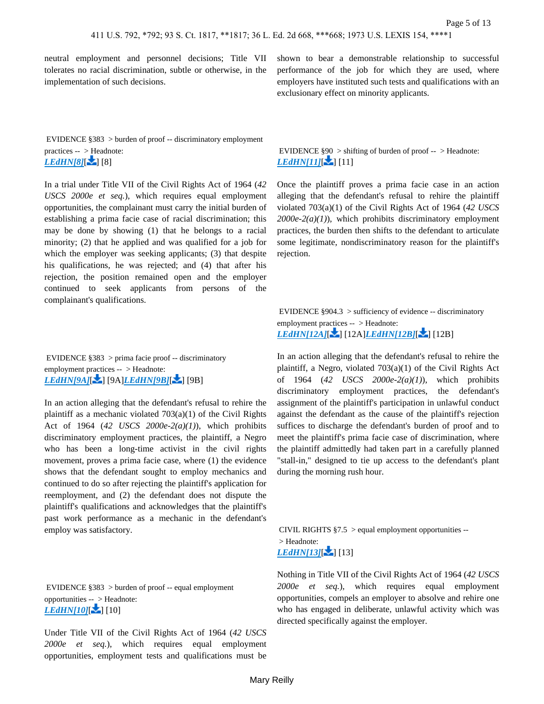neutral employment and personnel decisions; Title VII tolerates no racial discrimination, subtle or otherwise, in the implementation of such decisions.

 EVIDENCE §383 > burden of proof -- discriminatory employment practices -- > Headnote:  $LEdH N[8]$ [8]

In a trial under Title VII of the Civil Rights Act of 1964 (*42 USCS 2000e et seq.*), which requires equal employment opportunities, the complainant must carry the initial burden of establishing a prima facie case of racial discrimination; this may be done by showing (1) that he belongs to a racial minority; (2) that he applied and was qualified for a job for which the employer was seeking applicants; (3) that despite his qualifications, he was rejected; and (4) that after his rejection, the position remained open and the employer continued to seek applicants from persons of the complainant's qualifications.

<span id="page-4-0"></span> EVIDENCE §383 > prima facie proof -- discriminatory employment practices -- > Headnote: *[LEdHN\[9A\]](https://advance.lexis.com/api/document?collection=cases&id=urn:contentItem:3S4X-CVH0-003B-S2WK-00000-00&context=&link=LEDHN9_1)*[\[](#page-9-3) **2**[\]](#page-11-2) [9A]*[LEdHN\[9B\]](https://advance.lexis.com/api/document?collection=cases&id=urn:contentItem:3S4X-CVH0-003B-S2WK-00000-00&context=&link=LEDHN9_2)*[ **2**] [9B]

In an action alleging that the defendant's refusal to rehire the plaintiff as a mechanic violated 703(a)(1) of the Civil Rights Act of 1964 (*42 USCS 2000e-2(a)(1)*), which prohibits discriminatory employment practices, the plaintiff, a Negro who has been a long-time activist in the civil rights movement, proves a prima facie case, where (1) the evidence shows that the defendant sought to employ mechanics and continued to do so after rejecting the plaintiff's application for reemployment, and (2) the defendant does not dispute the plaintiff's qualifications and acknowledges that the plaintiff's past work performance as a mechanic in the defendant's employ was satisfactory.

 EVIDENCE §383 > burden of proof -- equal employment opportunities -[- >](#page-9-4) Headnote:  $LEdHNI10$ <sup>[10]</sup>[10]

Under Title VII of the Civil Rights Act of 1964 (*42 USCS 2000e et seq.*), which requires equal employment opportunities, employment tests and qualifications must be

shown to bear a demonstrable relationship to successful performance of the job for which they are used, where employers have instituted such tests and qualifications with an exclusionary effect on minority applicants.

<span id="page-4-1"></span> EVIDENCE §90 > shifting of burden of proof -- > Headnote: *[LEdHN\[11\]](https://advance.lexis.com/api/document?collection=cases&id=urn:contentItem:3S4X-CVH0-003B-S2WK-00000-00&context=&link=LEDHN11_1)*[ | 11]

Once the plaintiff proves a prima facie case in an action alleging that the defendant's refusal to rehire the plaintiff violated 703(a)(1) of the Civil Rights Act of 1964 (*42 USCS 2000e-2(a)(1)*), which prohibits discriminatory employment practices, the burden then shifts to the defendant to articulate some legitimate, nondiscriminatory reason for the plaintiff's rejection.

<span id="page-4-3"></span>EVIDENCE  $§904.3$  > sufficiency of evidence -- discriminatory employment practices -- > Headnote: *[LEdHN\[12A\]](https://advance.lexis.com/api/document?collection=cases&id=urn:contentItem:3S4X-CVH0-003B-S2WK-00000-00&context=&link=LEDHN12_1)*[\[](#page-10-3) ] [12A]*[LEdHN\[12B\]](https://advance.lexis.com/api/document?collection=cases&id=urn:contentItem:3S4X-CVH0-003B-S2WK-00000-00&context=&link=LEDHN12_2)*[ [\]](#page-11-3) [12B]

In an action alleging that the defendant's refusal to rehire the plaintiff, a Negro, violated 703(a)(1) of the Civil Rights Act of 1964 (*42 USCS 2000e-2(a)(1)*), which prohibits discriminatory employment practices, the defendant's assignment of the plaintiff's participation in unlawful conduct against the defendant as the cause of the plaintiff's rejection suffices to discharge the defendant's burden of proof and to meet the plaintiff's prima facie case of discrimination, where the plaintiff admittedly had taken part in a carefully planned "stall-in," designed to tie up access to the defendant's plant during the morning rush hour.

CIVIL RIGHTS  $§ 7.5 >$  equal employment opportunities -- > Headnote:  $LEdHN[13]$ [ $\sim$ ] [13]

<span id="page-4-2"></span>Nothing in Title VII of the Civil Rights Act of 1964 (*42 USCS 2000e et seq.*), which requires equal employment opportunities, compels an employer to absolve and rehire one who has engaged in deliberate, unlawful activity which was directed specifically against the employer.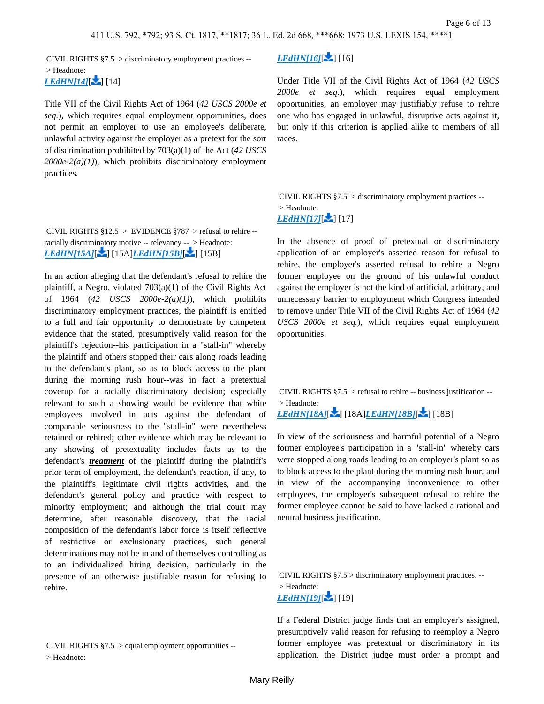CIVIL RIGHTS §7.5 > discriminatory employment practices --

 > Headnote: *[LEdHN\[14\]](https://advance.lexis.com/api/document?collection=cases&id=urn:contentItem:3S4X-CVH0-003B-S2WK-00000-00&context=&link=LEDHN14_1)*[14]

Title VII of the Civil Rights Act of 1964 (*42 USCS 2000e et seq.*), which requires equal employment opportunities, does not permit an employer to use an employee's deliberate, unlawful activity against the employer as a pretext for the sort of discrimination prohibited by 703(a)(1) of the Act (*42 USCS 2000e-2(a)(1)*), which prohibits discriminatory employment practices.

<span id="page-5-2"></span>CIVIL RIGHTS  $§12.5 >$  EVIDENCE  $§787 >$  refusal to rehire -racially discriminatory motive -- relevancy -- > Headnote: *[LEdHN\[15A\]](https://advance.lexis.com/api/document?collection=cases&id=urn:contentItem:3S4X-CVH0-003B-S2WK-00000-00&context=&link=LEDHN15_1)*[\[](#page-10-4) ] [15A]*[LEdHN\[15B\]](https://advance.lexis.com/api/document?collection=cases&id=urn:contentItem:3S4X-CVH0-003B-S2WK-00000-00&context=&link=LEDHN15_2)*[ [\]](#page-11-4) [15B]

In an action alleging that the defendant's refusal to rehire the plaintiff, a Negro, violated 703(a)(1) of the Civil Rights Act of 1964 (*42 USCS 2000e-2(a)(1)*), which prohibits discriminatory employment practices, the plaintiff is entitled to a full and fair opportunity to demonstrate by competent evidence that the stated, presumptively valid reason for the plaintiff's rejection--his participation in a "stall-in" whereby the plaintiff and others stopped their cars along roads leading to the defendant's plant, so as to block access to the plant during the morning rush hour--was in fact a pretextual coverup for a racially discriminatory decision; especially relevant to such a showing would be evidence that white employees involved in acts against the defendant of comparable seriousness to the "stall-in" were nevertheless retained or rehired; other evidence which may be relevant to any showing of pretextuality includes facts as to the defendant's *treatment* of the plaintiff during the plaintiff's prior term of employment, the defendant's reaction, if any, to the plaintiff's legitimate civil rights activities, and the defendant's general policy and practice with respect to minority employment; and although the trial court may determine, after reasonable discovery, that the racial composition of the defendant's labor force is itself reflective of restrictive or exclusionary practices, such general determinations may not be in and of themselves controlling as to an individualized hiring decision, particularly in the presence of an otherwise justifiable reason for refusing to rehire.

 CIVIL RIGHTS §7.5 > equal employment opportunities -- > Headnote:

## *[LEdHN\[16\]](https://advance.lexis.com/api/document?collection=cases&id=urn:contentItem:3S4X-CVH0-003B-S2WK-00000-00&context=&link=LEDHN16_1)*[ | [16]

Under Title VII of the Civil Rights Act of 1964 (*42 USCS 2000e et seq.*), which requires equal employment opportunities, an employer may justifiably refuse to rehire one who has engaged in unlawful, disruptive acts against it, but only if this criterion is applied alike to members of all races.

<span id="page-5-0"></span> CIVIL RIGHTS §7.5 > discriminatory employment practices -- > Headnote:  $LEdH N[17]$  [17]

In the absence of proof of pretextual or discriminatory application of an employer's asserted reason for refusal to rehire, the employer's asserted refusal to rehire a Negro former employee on the ground of his unlawful conduct against the employer is not the kind of artificial, arbitrary, and unnecessary barrier to employment which Congress intended to remove under Title VII of the Civil Rights Act of 1964 (*42 USCS 2000e et seq.*), which requires equal employment opportunities.

<span id="page-5-1"></span>CIVIL RIGHTS  $§7.5 >$  refusal to rehire -- business justification -- > Headnote: *[LEdHN\[18A\]](https://advance.lexis.com/api/document?collection=cases&id=urn:contentItem:3S4X-CVH0-003B-S2WK-00000-00&context=&link=LEDHN18_1)*[\[](#page-11-5) ] [18A]*[LEdHN\[18B\]](https://advance.lexis.com/api/document?collection=cases&id=urn:contentItem:3S4X-CVH0-003B-S2WK-00000-00&context=&link=LEDHN18_2)*[ [\]](#page-11-6) [18B]

In view of the seriousness and harmful potential of a Negro former employee's participation in a "stall-in" whereby cars were stopped along roads leading to an employer's plant so as to block access to the plant during the morning rush hour, and in view of the accompanying inconvenience to other employees, the employer's subsequent refusal to rehire the former employee cannot be said to have lacked a rational and neutral business justification.

<span id="page-5-3"></span> CIVIL RIGHTS §7.5 > discriminatory employment practices. -- > Headnote: *[LEdHN\[19\]](https://advance.lexis.com/api/document?collection=cases&id=urn:contentItem:3S4X-CVH0-003B-S2WK-00000-00&context=&link=LEDHN19_1)*[ | 19]

If a Federal District judge finds that an employer's assigned, presumptively valid reason for refusing to reemploy a Negro former employee was pretextual or discriminatory in its application, the District judge must order a prompt and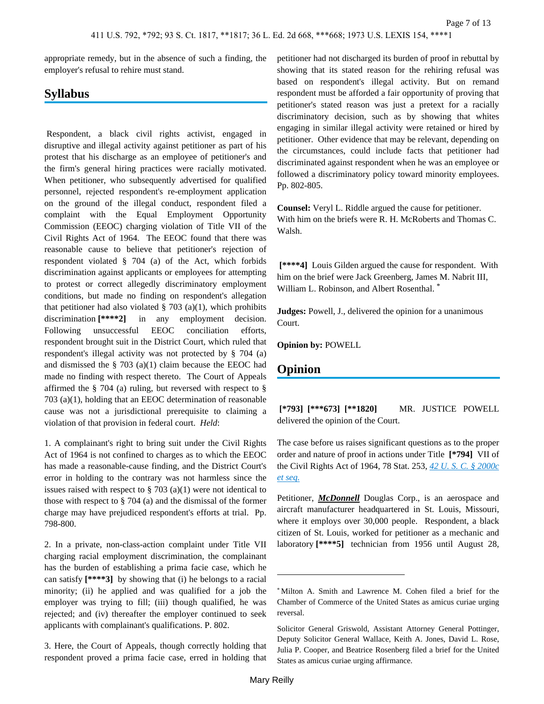appropriate remedy, but in the absence of such a finding, the employer's refusal to rehire must stand.

# **Syllabus**

 Respondent, a black civil rights activist, engaged in disruptive and illegal activity against petitioner as part of his protest that his discharge as an employee of petitioner's and the firm's general hiring practices were racially motivated. When petitioner, who subsequently advertised for qualified personnel, rejected respondent's re-employment application on the ground of the illegal conduct, respondent filed a complaint with the Equal Employment Opportunity Commission (EEOC) charging violation of Title VII of the Civil Rights Act of 1964. The EEOC found that there was reasonable cause to believe that petitioner's rejection of respondent violated § 704 (a) of the Act, which forbids discrimination against applicants or employees for attempting to protest or correct allegedly discriminatory employment conditions, but made no finding on respondent's allegation that petitioner had also violated  $\S$  703 (a)(1), which prohibits discrimination **[\*\*\*\*2]** in any employment decision. Following unsuccessful EEOC conciliation efforts, respondent brought suit in the District Court, which ruled that respondent's illegal activity was not protected by § 704 (a) and dismissed the  $\S$  703 (a)(1) claim because the EEOC had made no finding with respect thereto. The Court of Appeals affirmed the § 704 (a) ruling, but reversed with respect to § 703 (a)(1), holding that an EEOC determination of reasonable cause was not a jurisdictional prerequisite to claiming a violation of that provision in federal court. *Held*:

1. A complainant's right to bring suit under the Civil Rights Act of 1964 is not confined to charges as to which the EEOC has made a reasonable-cause finding, and the District Court's error in holding to the contrary was not harmless since the issues raised with respect to  $\S$  703 (a)(1) were not identical to those with respect to § 704 (a) and the dismissal of the former charge may have prejudiced respondent's efforts at trial. Pp. 798-800.

2. In a private, non-class-action complaint under Title VII charging racial employment discrimination, the complainant has the burden of establishing a prima facie case, which he can satisfy **[\*\*\*\*3]** by showing that (i) he belongs to a racial minority; (ii) he applied and was qualified for a job the employer was trying to fill; (iii) though qualified, he was rejected; and (iv) thereafter the employer continued to seek applicants with complainant's qualifications. P. 802.

3. Here, the Court of Appeals, though correctly holding that respondent proved a prima facie case, erred in holding that petitioner had not discharged its burden of proof in rebuttal by showing that its stated reason for the rehiring refusal was based on respondent's illegal activity. But on remand respondent must be afforded a fair opportunity of proving that petitioner's stated reason was just a pretext for a racially discriminatory decision, such as by showing that whites engaging in similar illegal activity were retained or hired by petitioner. Other evidence that may be relevant, depending on the circumstances, could include facts that petitioner had discriminated against respondent when he was an employee or followed a discriminatory policy toward minority employees. Pp. 802-805.

**Counsel:** Veryl L. Riddle argued the cause for petitioner. With him on the briefs were R. H. McRoberts and Thomas C. Walsh.

 **[\*\*\*\*4]** Louis Gilden argued the cause for respondent. With him on the brief were Jack Greenberg, James M. Nabrit III, William L. Robinson, and Albert Rosenthal. \*

**Judges:** Powell, J., delivered the opinion for a unanimous Court.

**Opinion by:** POWELL

## **Opinion**

 **[\*793] [\*\*\*673] [\*\*1820]** MR. JUSTICE POWELL delivered the opinion of the Court.

The case before us raises significant questions as to the proper order and nature of proof in actions under Title **[\*794]** VII of the Civil Rights Act of 1964, 78 Stat. 253, *[42 U. S. C. § 2000c](https://advance.lexis.com/api/document?collection=statutes-legislation&id=urn:contentItem:4YF7-GRR1-NRF4-4071-00000-00&context=)  [et seq.](https://advance.lexis.com/api/document?collection=statutes-legislation&id=urn:contentItem:4YF7-GRR1-NRF4-4071-00000-00&context=)*

Petitioner, *McDonnell* Douglas Corp., is an aerospace and aircraft manufacturer headquartered in St. Louis, Missouri, where it employs over 30,000 people. Respondent, a black citizen of St. Louis, worked for petitioner as a mechanic and laboratory **[\*\*\*\*5]** technician from 1956 until August 28,

<sup>\*</sup> Milton A. Smith and Lawrence M. Cohen filed a brief for the Chamber of Commerce of the United States as amicus curiae urging reversal.

Solicitor General Griswold, Assistant Attorney General Pottinger, Deputy Solicitor General Wallace, Keith A. Jones, David L. Rose, Julia P. Cooper, and Beatrice Rosenberg filed a brief for the United States as amicus curiae urging affirmance.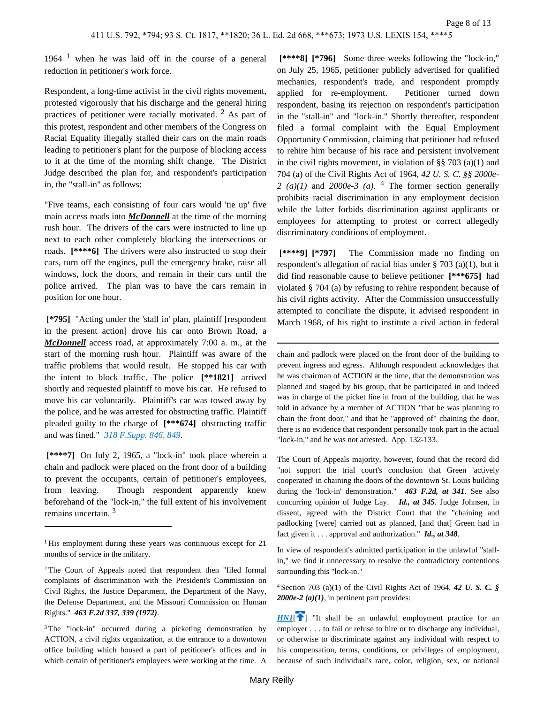1964  $<sup>1</sup>$  when he was laid off in the course of a general</sup> reduction in petitioner's work force.

Respondent, a long-time activist in the civil rights movement, protested vigorously that his discharge and the general hiring practices of petitioner were racially motivated.  $2$  As part of this protest, respondent and other members of the Congress on Racial Equality illegally stalled their cars on the main roads leading to petitioner's plant for the purpose of blocking access to it at the time of the morning shift change. The District Judge described the plan for, and respondent's participation in, the "stall-in" as follows:

"Five teams, each consisting of four cars would 'tie up' five main access roads into *McDonnell* at the time of the morning rush hour. The drivers of the cars were instructed to line up next to each other completely blocking the intersections or roads. **[\*\*\*\*6]** The drivers were also instructed to stop their cars, turn off the engines, pull the emergency brake, raise all windows, lock the doors, and remain in their cars until the police arrived. The plan was to have the cars remain in position for one hour.

 **[\*795]** "Acting under the 'stall in' plan, plaintiff [respondent in the present action] drove his car onto Brown Road, a *McDonnell* access road, at approximately 7:00 a. m., at the start of the morning rush hour. Plaintiff was aware of the traffic problems that would result. He stopped his car with the intent to block traffic. The police **[\*\*1821]** arrived shortly and requested plaintiff to move his car. He refused to move his car voluntarily. Plaintiff's car was towed away by the police, and he was arrested for obstructing traffic. Plaintiff pleaded guilty to the charge of **[\*\*\*674]** obstructing traffic and was fined." *[318 F.Supp. 846, 849](https://advance.lexis.com/api/document?collection=cases&id=urn:contentItem:3S4V-RMN0-003B-30C8-00000-00&context=)*.

 **[\*\*\*\*7]** On July 2, 1965, a "lock-in" took place wherein a chain and padlock were placed on the front door of a building to prevent the occupants, certain of petitioner's employees, from leaving. Though respondent apparently knew beforehand of the "lock-in," the full extent of his involvement remains uncertain. <sup>3</sup>

 **[\*\*\*\*8] [\*796]** Some three weeks following the "lock-in," on July 25, 1965, petitioner publicly advertised for qualified mechanics, respondent's trade, and respondent promptly applied for re-employment. Petitioner turned down respondent, basing its rejection on respondent's participation in the "stall-in" and "lock-in." Shortly thereafter, respondent filed a formal complaint with the Equal Employment Opportunity Commission, claiming that petitioner had refused to rehire him because of his race and persistent involvement in the civil rights movement, in violation of §§ 703 (a)(1) and 704 (a) of the Civil Rights Act of 1964, *42 U. S. C. §§ 2000e-*2  $(a)(1)$  and  $2000e-3$   $(a)$ . <sup>4</sup> The former section generally prohibits racial discrimination in any employment decision while the latter forbids discrimination against applicants or employees for attempting to protest or correct allegedly discriminatory conditions of employment.

 **[\*\*\*\*9] [\*797]** The Commission made no finding on respondent's allegation of racial bias under § 703 (a)(1), but it did find reasonable cause to believe petitioner **[\*\*\*675]** had violated § 704 (a) by refusing to rehire respondent because of his civil rights activity. After the Commission unsuccessfully attempted to conciliate the dispute, it advised respondent in March 1968, of his right to institute a civil action in federal

chain and padlock were placed on the front door of the building to prevent ingress and egress. Although respondent acknowledges that he was chairman of ACTION at the time, that the demonstration was planned and staged by his group, that he participated in and indeed was in charge of the picket line in front of the building, that he was told in advance by a member of ACTION "that he was planning to chain the front door," and that he "approved of" chaining the door, there is no evidence that respondent personally took part in the actual "lock-in," and he was not arrested. App. 132-133.

The Court of Appeals majority, however, found that the record did "not support the trial court's conclusion that Green 'actively cooperated' in chaining the doors of the downtown St. Louis building during the 'lock-in' demonstration." *463 F.2d, at 341*. See also concurring opinion of Judge Lay. *Id., at 345*. Judge Johnsen, in dissent, agreed with the District Court that the "chaining and padlocking [were] carried out as planned, [and that] Green had in fact given it . . . approval and authorization." *Id., at 348*.

In view of respondent's admitted participation in the unlawful "stallin," we find it unnecessary to resolve the contradictory contentions surrounding this "lock-in."

<sup>4</sup>Section 703 (a)(1) of the Civil Rights Act of 1964, *42 U. S. C. § 2000e-2 (a)(1)*, in pertinent part provides:

<span id="page-7-0"></span>*[HN1](https://advance.lexis.com/api/document?collection=cases&id=urn:contentItem:3S4X-CVH0-003B-S2WK-00000-00&context=&link=clscc1)*<sup> $\uparrow$ </sup>] "It shall be an unlawful employment practice for an employer . . . to fail or refuse to hire or to discharge any individual, or otherwise to discriminate against any individual with respect to his compensation, terms, conditions, or privileges of employment, because of such individual's race, color, religion, sex, or national

<sup>&</sup>lt;sup>1</sup>His employment during these years was continuous except for 21 months of service in the military.

<sup>2</sup>The Court of Appeals noted that respondent then "filed formal complaints of discrimination with the President's Commission on Civil Rights, the Justice Department, the Department of the Navy, the Defense Department, and the Missouri Commission on Human Rights." *463 F.2d 337, 339 (1972)*.

<sup>3</sup>The "lock-in" occurred during a picketing demonstration by ACTION, a civil rights organization, at the entrance to a downtown office building which housed a part of petitioner's offices and in which certain of petitioner's employees were working at the time. A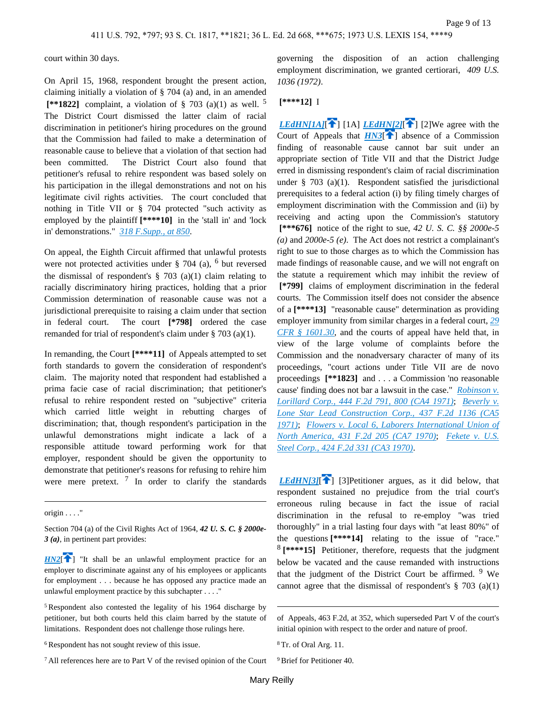court within 30 days.

On April 15, 1968, respondent brought the present action, claiming initially a violation of § 704 (a) and, in an amended  **[\*\*1822]** complaint, a violation of § 703 (a)(1) as well. <sup>5</sup> The District Court dismissed the latter claim of racial discrimination in petitioner's hiring procedures on the ground that the Commission had failed to make a determination of reasonable cause to believe that a violation of that section had been committed. The District Court also found that petitioner's refusal to rehire respondent was based solely on his participation in the illegal demonstrations and not on his legitimate civil rights activities. The court concluded that nothing in Title VII or § 704 protected "such activity as employed by the plaintiff **[\*\*\*\*10]** in the 'stall in' and 'lock in' demonstrations." *[318 F.Supp., at 850](https://advance.lexis.com/api/document?collection=cases&id=urn:contentItem:3S4V-RMN0-003B-30C8-00000-00&context=)*.

On appeal, the Eighth Circuit affirmed that unlawful protests were not protected activities under  $\S$  704 (a), <sup>6</sup> but reversed the dismissal of respondent's  $\S$  703 (a)(1) claim relating to racially discriminatory hiring practices, holding that a prior Commission determination of reasonable cause was not a jurisdictional prerequisite to raising a claim under that section in federal court. The court **[\*798]** ordered the case remanded for trial of respondent's claim under § 703 (a)(1).

In remanding, the Court **[\*\*\*\*11]** of Appeals attempted to set forth standards to govern the consideration of respondent's claim. The majority noted that respondent had established a prima facie case of racial discrimination; that petitioner's refusal to rehire respondent rested on "subjective" criteria which carried little weight in rebutting charges of discrimination; that, though respondent's participation in the unlawful demonstrations might indicate a lack of a responsible attitude toward performing work for that employer, respondent should be given the opportunity to demonstrate that petitioner's reasons for refusing to rehire him were mere pretext.  $\frac{7}{1}$  In order to clarify the standards

origin . . . ."

Section 704 (a) of the Civil Rights Act of 1964, *42 U. S. C. § 2000e-3 (a)*, in pertinent part provides:

<span id="page-8-0"></span> $H N2$ <sup>[ $\bullet$ </sup>] "It shall be an unlawful employment practice for an employer to discriminate against any of his employees or applicants for employment . . . because he has opposed any practice made an unlawful employment practice by this subchapter . . . ."

<sup>5</sup>Respondent also contested the legality of his 1964 discharge by petitioner, but both courts held this claim barred by the statute of limitations. Respondent does not challenge those rulings here.

<sup>6</sup>Respondent has not sought review of this issue.

<sup>7</sup>All references here are to Part V of the revised opinion of the Court

governing the disposition of an action challenging employment discrimination, we granted certiorari, *409 U.S. 1036 (1972)*.

## <span id="page-8-2"></span> **[\*\*\*\*12]** I

<span id="page-8-1"></span>*[LEdHN\[1A\]](https://advance.lexis.com/api/document?collection=cases&id=urn:contentItem:3S4X-CVH0-003B-S2WK-00000-00&context=&link=LEDHN1)*[<sup>2</sup>] [1A] *[LEdHN\[2\]](https://advance.lexis.com/api/document?collection=cases&id=urn:contentItem:3S4X-CVH0-003B-S2WK-00000-00&context=&link=LEDHN2)*[<sup>2</sup>] [2]We agree with the Court of Appeals that  $H N3$ <sup>[ $\uparrow$ </sup>] absence of a Commission finding of reasonable cause cannot bar suit under an appropriate section of Title VII and that the District Judge erred in dismissing respondent's claim of racial discrimination under § 703 (a)(1). Respondent satisfied the jurisdictional prerequisites to a federal action (i) by filing timely charges of employment discrimination with the Commission and (ii) by receiving and acting upon the Commission's statutory  **[\*\*\*676]** notice of the right to sue, *42 U. S. C. §§ 2000e-5 (a)* and *2000e-5 (e)*. The Act does not restrict a complainant's right to sue to those charges as to which the Commission has made findings of reasonable cause, and we will not engraft on the statute a requirement which may inhibit the review of  **[\*799]** claims of employment discrimination in the federal courts. The Commission itself does not consider the absence of a **[\*\*\*\*13]** "reasonable cause" determination as providing employer immunity from similar charges in a federal court, *[29](https://advance.lexis.com/api/document?collection=administrative-codes&id=urn:contentItem:5RYX-9PX0-008H-0397-00000-00&context=)  [CFR § 1601.30](https://advance.lexis.com/api/document?collection=administrative-codes&id=urn:contentItem:5RYX-9PX0-008H-0397-00000-00&context=)*, and the courts of appeal have held that, in view of the large volume of complaints before the Commission and the nonadversary character of many of its proceedings, "court actions under Title VII are de novo proceedings **[\*\*1823]** and . . . a Commission 'no reasonable cause' finding does not bar a lawsuit in the case." *[Robinson v.](https://advance.lexis.com/api/document?collection=cases&id=urn:contentItem:3S4X-B5W0-0039-X09X-00000-00&context=)  [Lorillard Corp., 444 F.2d 791, 800 \(CA4 1971\)](https://advance.lexis.com/api/document?collection=cases&id=urn:contentItem:3S4X-B5W0-0039-X09X-00000-00&context=)*; *[Beverly v.](https://advance.lexis.com/api/document?collection=cases&id=urn:contentItem:3S4X-FM20-0039-X480-00000-00&context=)  [Lone Star Lead Construction Corp., 437 F.2d 1136 \(CA5](https://advance.lexis.com/api/document?collection=cases&id=urn:contentItem:3S4X-FM20-0039-X480-00000-00&context=)  [1971\)](https://advance.lexis.com/api/document?collection=cases&id=urn:contentItem:3S4X-FM20-0039-X480-00000-00&context=)*; *[Flowers v. Local 6, Laborers International Union of](https://advance.lexis.com/api/document?collection=cases&id=urn:contentItem:3S4X-K7Y0-0039-X1YM-00000-00&context=)  [North America, 431 F.2d 205 \(CA7 1970\)](https://advance.lexis.com/api/document?collection=cases&id=urn:contentItem:3S4X-K7Y0-0039-X1YM-00000-00&context=)*; *[Fekete v. U.S.](https://advance.lexis.com/api/document?collection=cases&id=urn:contentItem:3S4X-M920-0039-X4JW-00000-00&context=)  [Steel Corp., 424 F.2d 331 \(CA3 1970\)](https://advance.lexis.com/api/document?collection=cases&id=urn:contentItem:3S4X-M920-0039-X4JW-00000-00&context=)*.

*[LEdHN\[3\]](https://advance.lexis.com/api/document?collection=cases&id=urn:contentItem:3S4X-CVH0-003B-S2WK-00000-00&context=&link=LEDHN3)*[\[](#page-3-0) $\uparrow$ ] [3]Petitioner argues, as it did below, that respondent sustained no prejudice from the trial court's erroneous ruling because in fact the issue of racial discrimination in the refusal to re-employ "was tried thoroughly" in a trial lasting four days with "at least 80%" of the questions **[\*\*\*\*14]** relating to the issue of "race." 8  **[\*\*\*\*15]** Petitioner, therefore, requests that the judgment below be vacated and the cause remanded with instructions that the judgment of the District Court be affirmed. <sup>9</sup> We cannot agree that the dismissal of respondent's  $\S$  703 (a)(1)

of Appeals, 463 F.2d, at 352, which superseded Part V of the court's initial opinion with respect to the order and nature of proof.

<sup>8</sup>Tr. of Oral Arg. 11.

<sup>9</sup>Brief for Petitioner 40.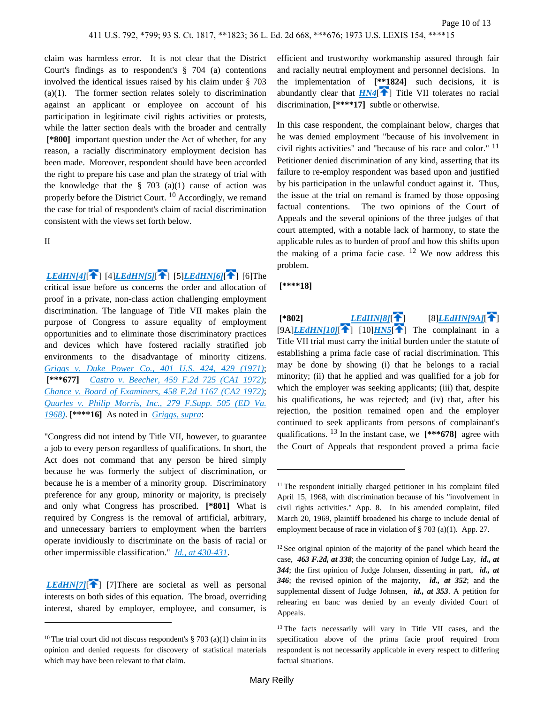claim was harmless error. It is not clear that the District Court's findings as to respondent's § 704 (a) contentions involved the identical issues raised by his claim under § 703 (a)(1). The former section relates solely to discrimination against an applicant or employee on account of his participation in legitimate civil rights activities or protests, while the latter section deals with the broader and centrally  **[\*800]** important question under the Act of whether, for any reason, a racially discriminatory employment decision has been made. Moreover, respondent should have been accorded the right to prepare his case and plan the strategy of trial with the knowledge that the  $\S$  703 (a)(1) cause of action was properly before the District Court. <sup>10</sup> Accordingly, we remand the case for trial of respondent's claim of racial discrimination consistent with the views set forth below.

II

*[LEdHN\[4\]](https://advance.lexis.com/api/document?collection=cases&id=urn:contentItem:3S4X-CVH0-003B-S2WK-00000-00&context=&link=LEDHN4)*[\[](#page-3-1)<sup>2</sup>] [4]*[LEdHN\[5\]](https://advance.lexis.com/api/document?collection=cases&id=urn:contentItem:3S4X-CVH0-003B-S2WK-00000-00&context=&link=LEDHN5)*[<sup>2</sup>] [5]*[LEdHN\[6\]](https://advance.lexis.com/api/document?collection=cases&id=urn:contentItem:3S4X-CVH0-003B-S2WK-00000-00&context=&link=LEDHN6)*[<sup>2</sup>] [6]The

critical issue before us concerns the order and allocation of proof in a private, non-class action challenging employment discrimination. The language of Title VII makes plain the purpose of Congress to assure equality of employment opportunities and to eliminate those discriminatory practices and devices which have fostered racially stratified job environments to the disadvantage of minority citizens. *[Griggs v. Duke Power Co., 401 U.S. 424, 429 \(1971\)](https://advance.lexis.com/api/document?collection=cases&id=urn:contentItem:3S4X-DR50-003B-S410-00000-00&context=)*;  **[\*\*\*677]** *[Castro v. Beecher, 459 F.2d 725 \(CA1 1972\)](https://advance.lexis.com/api/document?collection=cases&id=urn:contentItem:3S4X-5MY0-0039-X4F1-00000-00&context=)*; *[Chance v. Board of Examiners, 458 F.2d 1167 \(CA2 1972\)](https://advance.lexis.com/api/document?collection=cases&id=urn:contentItem:3S4X-5XJ0-0039-X4XK-00000-00&context=)*; *[Quarles v. Philip Morris, Inc., 279 F.Supp. 505 \(ED Va.](https://advance.lexis.com/api/document?collection=cases&id=urn:contentItem:3S4V-RT20-0054-847T-00000-00&context=)  [1968\)](https://advance.lexis.com/api/document?collection=cases&id=urn:contentItem:3S4V-RT20-0054-847T-00000-00&context=)*. **[\*\*\*\*16]** As noted in *[Griggs, supra](https://advance.lexis.com/api/document?collection=cases&id=urn:contentItem:3S4X-DR50-003B-S410-00000-00&context=)*:

"Congress did not intend by Title VII, however, to guarantee a job to every person regardless of qualifications. In short, the Act does not command that any person be hired simply because he was formerly the subject of discrimination, or because he is a member of a minority group. Discriminatory preference for any group, minority or majority, is precisely and only what Congress has proscribed. **[\*801]** What is required by Congress is the removal of artificial, arbitrary, and unnecessary barriers to employment when the barriers operate invidiously to discriminate on the basis of racial or other impermissible classification." *[Id., at 430-431](https://advance.lexis.com/api/document?collection=cases&id=urn:contentItem:3S4X-DR50-003B-S410-00000-00&context=)*.

<span id="page-9-2"></span>*[LEdHN\[7\]](https://advance.lexis.com/api/document?collection=cases&id=urn:contentItem:3S4X-CVH0-003B-S2WK-00000-00&context=&link=LEDHN7)*[\[](#page-3-2)<sup>2</sup>] [7]There are societal as well as personal interests on both sides of this equation. The broad, overriding interest, shared by employer, employee, and consumer, is <span id="page-9-0"></span>efficient and trustworthy workmanship assured through fair and racially neutral employment and personnel decisions. In the implementation of **[\*\*1824]** such decisions, it is abundantly clear that  $HM4$ <sup>[\[](#page-1-0) $\uparrow$ </sup>] Title VII tolerates no racial discrimination, **[\*\*\*\*17]** subtle or otherwise.

In this case respondent, the complainant below, charges that he was denied employment "because of his involvement in civil rights activities" and "because of his race and color." <sup>11</sup> Petitioner denied discrimination of any kind, asserting that its failure to re-employ respondent was based upon and justified by his participation in the unlawful conduct against it. Thus, the issue at the trial on remand is framed by those opposing factual contentions. The two opinions of the Court of Appeals and the several opinions of the three judges of that court attempted, with a notable lack of harmony, to state the applicable rules as to burden of proof and how this shifts upon the making of a prima facie case.  $12$  We now address this problem.

 **[\*\*\*\*18]** 

<span id="page-9-4"></span><span id="page-9-3"></span><span id="page-9-1"></span> **[\*802]** *[LEdHN\[8\]](https://advance.lexis.com/api/document?collection=cases&id=urn:contentItem:3S4X-CVH0-003B-S2WK-00000-00&context=&link=LEDHN8)*[ ] [8]*[LEdHN\[9A\]](https://advance.lexis.com/api/document?collection=cases&id=urn:contentItem:3S4X-CVH0-003B-S2WK-00000-00&context=&link=LEDHN9)*[ [\]](#page-4-0)  $[9A]$  $[9A]$ *[LEdHN\[10\]](https://advance.lexis.com/api/document?collection=cases&id=urn:contentItem:3S4X-CVH0-003B-S2WK-00000-00&context=&link=LEDHN10)*[<sup>1</sup>]  $[10]$ *[HN5](https://advance.lexis.com/api/document?collection=cases&id=urn:contentItem:3S4X-CVH0-003B-S2WK-00000-00&context=&link=clscc5)*<sup>[1</sup>] The complainant in a Title VII trial must carry the initial burden under the statute of establishing a prima facie case of racial discrimination. This may be done by showing (i) that he belongs to a racial minority; (ii) that he applied and was qualified for a job for which the employer was seeking applicants; (iii) that, despite his qualifications, he was rejected; and (iv) that, after his rejection, the position remained open and the employer continued to seek applicants from persons of complainant's qualifications. 13 In the instant case, we **[\*\*\*678]** agree with the Court of Appeals that respondent proved a prima facie

<sup>&</sup>lt;sup>10</sup>The trial court did not discuss respondent's  $\S 703$  (a)(1) claim in its opinion and denied requests for discovery of statistical materials which may have been relevant to that claim.

<sup>&</sup>lt;sup>11</sup>The respondent initially charged petitioner in his complaint filed April 15, 1968, with discrimination because of his "involvement in civil rights activities." App. 8. In his amended complaint, filed March 20, 1969, plaintiff broadened his charge to include denial of employment because of race in violation of § 703 (a)(1). App. 27.

<sup>12</sup>See original opinion of the majority of the panel which heard the case, *463 F.2d, at 338*; the concurring opinion of Judge Lay, *id., at 344*; the first opinion of Judge Johnsen, dissenting in part, *id., at 346*; the revised opinion of the majority, *id., at 352*; and the supplemental dissent of Judge Johnsen, *id., at 353*. A petition for rehearing en banc was denied by an evenly divided Court of Appeals.

<sup>&</sup>lt;sup>13</sup>The facts necessarily will vary in Title VII cases, and the specification above of the prima facie proof required from respondent is not necessarily applicable in every respect to differing factual situations.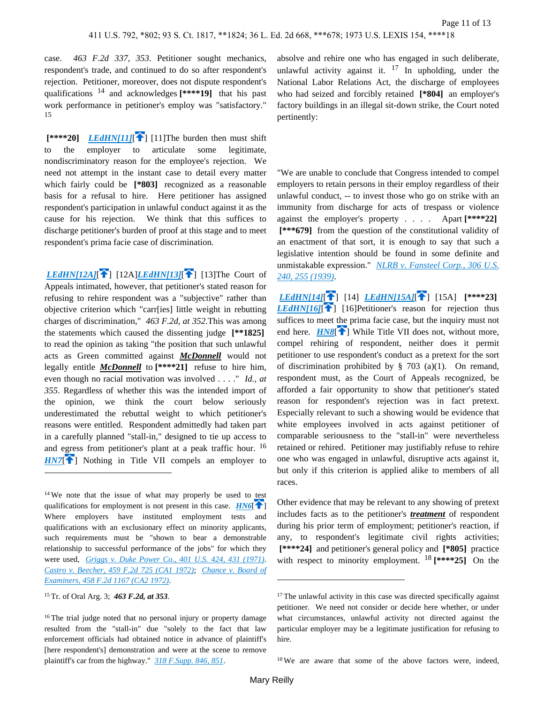case. *463 F.2d 337, 353*. Petitioner sought mechanics, respondent's trade, and continued to do so after respondent's rejection. Petitioner, moreover, does not dispute respondent's qualifications 14 and acknowledges **[\*\*\*\*19]** that his past work performance in petitioner's employ was "satisfactory." 15

 ${\bf K}^{***20}$  *[LEdHN\[11\]](https://advance.lexis.com/api/document?collection=cases&id=urn:contentItem:3S4X-CVH0-003B-S2WK-00000-00&context=&link=LEDHN11)*[<sup>2</sup>[\]](#page-4-1) [11] The burden then must shift to the employer to articulate some legitimate, nondiscriminatory reason for the employee's rejection. We need not attempt in the instant case to detail every matter which fairly could be **[\*803]** recognized as a reasonable basis for a refusal to hire. Here petitioner has assigned respondent's participation in unlawful conduct against it as the cause for his rejection. We think that this suffices to discharge petitioner's burden of proof at this stage and to meet respondent's prima facie case of discrimination.

<span id="page-10-3"></span>*[LEdHN\[12A\]](https://advance.lexis.com/api/document?collection=cases&id=urn:contentItem:3S4X-CVH0-003B-S2WK-00000-00&context=&link=LEDHN12)*[ $\left| \right|$  [12A]*[LEdHN\[13\]](https://advance.lexis.com/api/document?collection=cases&id=urn:contentItem:3S4X-CVH0-003B-S2WK-00000-00&context=&link=LEDHN13)*[ $\left| \right|$ ] [13]The Court of Appeals intimated, however, that petitioner's stated reason for refusing to rehire respondent was a "subjective" rather than objective criterion which "carr[ies] little weight in rebutting charges of discrimination," *463 F.2d, at 352*.This was among the statements which caused the dissenting judge **[\*\*1825]**  to read the opinion as taking "the position that such unlawful acts as Green committed against *McDonnell* would not legally entitle *McDonnell* to **[\*\*\*\*21]** refuse to hire him, even though no racial motivation was involved . . . ." *Id., at 355*. Regardless of whether this was the intended import of the opinion, we think the court below seriously underestimated the rebuttal weight to which petitioner's reasons were entitled. Respondent admittedly had taken part in a carefully planned "stall-in," designed to tie up access to and egress from petitioner's plant at a peak traffic hour. <sup>16</sup> *[HN7](https://advance.lexis.com/api/document?collection=cases&id=urn:contentItem:3S4X-CVH0-003B-S2WK-00000-00&context=&link=clscc7)*<sup>[\[](#page-1-2)2]</sup> Nothing in Title VII compels an employer to

<span id="page-10-1"></span><sup>14</sup>We note that the issue of what may properly be used to test qualifications for employment is not present in this case.  $HM6$ [\[](#page-1-3) $\uparrow$ ] Where employers have instituted employment tests and qualifications with an exclusionary effect on minority applicants, such requirements must be "shown to bear a demonstrable relationship to successful performance of the jobs" for which they were used, *[Griggs v. Duke Power Co., 401 U.S. 424, 431 \(1971\)](https://advance.lexis.com/api/document?collection=cases&id=urn:contentItem:3S4X-DR50-003B-S410-00000-00&context=)*. *[Castro v. Beecher, 459 F.2d 725 \(CA1 1972\)](https://advance.lexis.com/api/document?collection=cases&id=urn:contentItem:3S4X-5MY0-0039-X4F1-00000-00&context=)*; *[Chance v. Board of](https://advance.lexis.com/api/document?collection=cases&id=urn:contentItem:3S4X-5XJ0-0039-X4XK-00000-00&context=)  [Examiners, 458 F.2d 1167 \(CA2 1972\)](https://advance.lexis.com/api/document?collection=cases&id=urn:contentItem:3S4X-5XJ0-0039-X4XK-00000-00&context=)*.

<sup>15</sup>Tr. of Oral Arg. 3; *463 F.2d, at 353*.

<sup>16</sup>The trial judge noted that no personal injury or property damage resulted from the "stall-in" due "solely to the fact that law enforcement officials had obtained notice in advance of plaintiff's [here respondent's] demonstration and were at the scene to remove plaintiff's car from the highway." *[318 F.Supp. 846, 851](https://advance.lexis.com/api/document?collection=cases&id=urn:contentItem:3S4V-RMN0-003B-30C8-00000-00&context=)*.

absolve and rehire one who has engaged in such deliberate, unlawful activity against it.  $17 \text{ In the whole image, under the$ National Labor Relations Act, the discharge of employees who had seized and forcibly retained **[\*804]** an employer's factory buildings in an illegal sit-down strike, the Court noted pertinently:

"We are unable to conclude that Congress intended to compel employers to retain persons in their employ regardless of their unlawful conduct, -- to invest those who go on strike with an immunity from discharge for acts of trespass or violence against the employer's property . . . . Apart **[\*\*\*\*22] [\*\*\*679]** from the question of the constitutional validity of an enactment of that sort, it is enough to say that such a legislative intention should be found in some definite and unmistakable expression." *[NLRB v. Fansteel Corp., 306 U.S.](https://advance.lexis.com/api/document?collection=cases&id=urn:contentItem:3S4X-8420-003B-74B0-00000-00&context=)  [240, 255 \(1939\)](https://advance.lexis.com/api/document?collection=cases&id=urn:contentItem:3S4X-8420-003B-74B0-00000-00&context=)*.

<span id="page-10-4"></span><span id="page-10-2"></span>*[LEdHN\[14\]](https://advance.lexis.com/api/document?collection=cases&id=urn:contentItem:3S4X-CVH0-003B-S2WK-00000-00&context=&link=LEDHN14)*[\[](#page-4-2) ] [14] *[LEdHN\[15A\]](https://advance.lexis.com/api/document?collection=cases&id=urn:contentItem:3S4X-CVH0-003B-S2WK-00000-00&context=&link=LEDHN15)*[ ] [15A] **[\*\*\*\*23]**  *[LEdHN\[16\]](https://advance.lexis.com/api/document?collection=cases&id=urn:contentItem:3S4X-CVH0-003B-S2WK-00000-00&context=&link=LEDHN16)*<sup>[</sup> ] [16]Petitioner's reason for rejection thus suffices to meet the prima facie case, but the inquiry must not end here. **[HN8](https://advance.lexis.com/api/document?collection=cases&id=urn:contentItem:3S4X-CVH0-003B-S2WK-00000-00&context=&link=clscc8)<sup>[4]</sup>** While Title VII does not, without more, compel rehiring of respondent, neither does it permit petitioner to use respondent's conduct as a pretext for the sort of discrimination prohibited by  $\S$  703 (a)(1). On remand, respondent must, as the Court of Appeals recognized, be afforded a fair opportunity to show that petitioner's stated reason for respondent's rejection was in fact pretext. Especially relevant to such a showing would be evidence that white employees involved in acts against petitioner of comparable seriousness to the "stall-in" were nevertheless retained or rehired. Petitioner may justifiably refuse to rehire one who was engaged in unlawful, disruptive acts against it, but only if this criterion is applied alike to members of all races.

<span id="page-10-0"></span>Other evidence that may be relevant to any showing of pretext includes facts as to the petitioner's *treatment* of respondent during his prior term of employment; petitioner's reaction, if any, to respondent's legitimate civil rights activities;  **[\*\*\*\*24]** and petitioner's general policy and **[\*805]** practice with respect to minority employment. 18 **[\*\*\*\*25]** On the

<sup>18</sup>We are aware that some of the above factors were, indeed,

 $17$ The unlawful activity in this case was directed specifically against petitioner. We need not consider or decide here whether, or under what circumstances, unlawful activity not directed against the particular employer may be a legitimate justification for refusing to hire.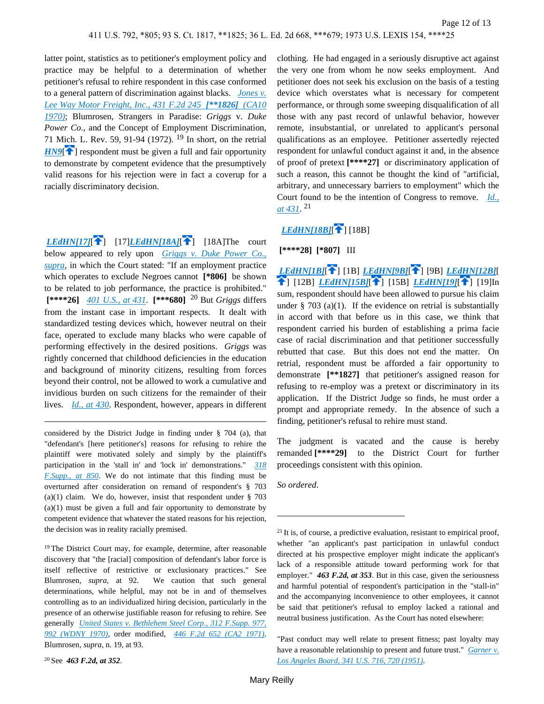latter point, statistics as to petitioner's employment policy and practice may be helpful to a determination of whether petitioner's refusal to rehire respondent in this case conformed to a general pattern of discrimination against blacks. *[Jones v.](https://advance.lexis.com/api/document?collection=cases&id=urn:contentItem:3S4X-K6V0-0039-X1WR-00000-00&context=)  [Lee Way Motor Freight, Inc., 431 F.2d 245](https://advance.lexis.com/api/document?collection=cases&id=urn:contentItem:3S4X-K6V0-0039-X1WR-00000-00&context=) [\*\*1826] (CA10 [1970\)](https://advance.lexis.com/api/document?collection=cases&id=urn:contentItem:3S4X-K6V0-0039-X1WR-00000-00&context=)*; Blumrosen, Strangers in Paradise: *Griggs* v. *Duke Power Co*., and the Concept of Employment Discrimination, 71 Mich. L. Rev. 59, 91-94 (1972). <sup>19</sup> In short, on the retrial *[HN9](https://advance.lexis.com/api/document?collection=cases&id=urn:contentItem:3S4X-CVH0-003B-S2WK-00000-00&context=&link=clscc9)*<sup>[\[](#page-2-0)26</sup>] respondent must be given a full and fair opportunity to demonstrate by competent evidence that the presumptively valid reasons for his rejection were in fact a coverup for a racially discriminatory decision.

<span id="page-11-0"></span>*[LEdHN\[17\]](https://advance.lexis.com/api/document?collection=cases&id=urn:contentItem:3S4X-CVH0-003B-S2WK-00000-00&context=&link=LEDHN17)*<sup>[\[](#page-5-0)</sup><sup>1</sup>] [17]*[LEdHN\[18A\]](https://advance.lexis.com/api/document?collection=cases&id=urn:contentItem:3S4X-CVH0-003B-S2WK-00000-00&context=&link=LEDHN18)*[<sup>1</sup>] [18A]The court below appeared to rely upon *[Griggs v. Duke Power Co.,](https://advance.lexis.com/api/document?collection=cases&id=urn:contentItem:3S4X-DR50-003B-S410-00000-00&context=)  [supra](https://advance.lexis.com/api/document?collection=cases&id=urn:contentItem:3S4X-DR50-003B-S410-00000-00&context=)*, in which the Court stated: "If an employment practice which operates to exclude Negroes cannot **[\*806]** be shown to be related to job performance, the practice is prohibited."  **[\*\*\*\*26]** *[401 U.S., at 431](https://advance.lexis.com/api/document?collection=cases&id=urn:contentItem:3S4X-DR50-003B-S410-00000-00&context=)*. **[\*\*\*680]** 20 But *Griggs* differs from the instant case in important respects. It dealt with standardized testing devices which, however neutral on their face, operated to exclude many blacks who were capable of performing effectively in the desired positions. *Griggs* was rightly concerned that childhood deficiencies in the education and background of minority citizens, resulting from forces beyond their control, not be allowed to work a cumulative and invidious burden on such citizens for the remainder of their lives. *[Id., at 430](https://advance.lexis.com/api/document?collection=cases&id=urn:contentItem:3S4X-DR50-003B-S410-00000-00&context=)*. Respondent, however, appears in different

considered by the District Judge in finding under § 704 (a), that "defendant's [here petitioner's] reasons for refusing to rehire the plaintiff were motivated solely and simply by the plaintiff's participation in the 'stall in' and 'lock in' demonstrations." *[318](https://advance.lexis.com/api/document?collection=cases&id=urn:contentItem:3S4V-RMN0-003B-30C8-00000-00&context=)  [F.Supp., at 850](https://advance.lexis.com/api/document?collection=cases&id=urn:contentItem:3S4V-RMN0-003B-30C8-00000-00&context=)*. We do not intimate that this finding must be overturned after consideration on remand of respondent's § 703 (a)(1) claim. We do, however, insist that respondent under  $\S$  703 (a)(1) must be given a full and fair opportunity to demonstrate by competent evidence that whatever the stated reasons for his rejection, the decision was in reality racially premised.

<sup>19</sup>The District Court may, for example, determine, after reasonable discovery that "the [racial] composition of defendant's labor force is itself reflective of restrictive or exclusionary practices." See Blumrosen, *supra*, at 92. We caution that such general determinations, while helpful, may not be in and of themselves controlling as to an individualized hiring decision, particularly in the presence of an otherwise justifiable reason for refusing to rehire. See generally *[United States v. Bethlehem Steel Corp., 312 F.Supp. 977,](https://advance.lexis.com/api/document?collection=cases&id=urn:contentItem:3S4V-SDK0-003B-32XK-00000-00&context=)  [992 \(WDNY 1970\)](https://advance.lexis.com/api/document?collection=cases&id=urn:contentItem:3S4V-SDK0-003B-32XK-00000-00&context=)*, order modified, *[446 F.2d 652 \(CA2 1971\)](https://advance.lexis.com/api/document?collection=cases&id=urn:contentItem:3S4X-BF00-0039-X0MP-00000-00&context=)*. Blumrosen, *supra*, n. 19, at 93.

clothing. He had engaged in a seriously disruptive act against the very one from whom he now seeks employment. And petitioner does not seek his exclusion on the basis of a testing device which overstates what is necessary for competent performance, or through some sweeping disqualification of all those with any past record of unlawful behavior, however remote, insubstantial, or unrelated to applicant's personal qualifications as an employee. Petitioner assertedly rejected respondent for unlawful conduct against it and, in the absence of proof of pretext **[\*\*\*\*27]** or discriminatory application of such a reason, this cannot be thought the kind of "artificial, arbitrary, and unnecessary barriers to employment" which the Court found to be the intention of Congress to remove. *[Id.,](https://advance.lexis.com/api/document?collection=cases&id=urn:contentItem:3S4X-DR50-003B-S410-00000-00&context=)  [at 431](https://advance.lexis.com/api/document?collection=cases&id=urn:contentItem:3S4X-DR50-003B-S410-00000-00&context=)*. 21

# <span id="page-11-6"></span><span id="page-11-5"></span>*[LEdHN\[18B\]](https://advance.lexis.com/api/document?collection=cases&id=urn:contentItem:3S4X-CVH0-003B-S2WK-00000-00&context=&link=LEDHN18)*[\[](#page-5-1)<sup>2</sup>][18B]

## <span id="page-11-2"></span><span id="page-11-1"></span> **[\*\*\*\*28] [\*807]** III

<span id="page-11-4"></span><span id="page-11-3"></span>*[LEdHN\[1B\]](https://advance.lexis.com/api/document?collection=cases&id=urn:contentItem:3S4X-CVH0-003B-S2WK-00000-00&context=&link=LEDHN1)*[ ] [1B] *[LEdHN\[9B\]](https://advance.lexis.com/api/document?collection=cases&id=urn:contentItem:3S4X-CVH0-003B-S2WK-00000-00&context=&link=LEDHN9)*[ ] [9B] *[LEdHN\[12B\]](https://advance.lexis.com/api/document?collection=cases&id=urn:contentItem:3S4X-CVH0-003B-S2WK-00000-00&context=&link=LEDHN12)*[ **1**] [\[](#page-5-2)12B[\]](#page-5-3) *[LEdHN\[15B\]](https://advance.lexis.com/api/document?collection=cases&id=urn:contentItem:3S4X-CVH0-003B-S2WK-00000-00&context=&link=LEDHN15)*[1] [15B] *[LEdHN\[19\]](https://advance.lexis.com/api/document?collection=cases&id=urn:contentItem:3S4X-CVH0-003B-S2WK-00000-00&context=&link=LEDHN19)*[1] [19]In sum, respondent should have been allowed to pursue his claim under  $\S$  703 (a)(1). If the evidence on retrial is substantially in accord with that before us in this case, we think that respondent carried his burden of establishing a prima facie case of racial discrimination and that petitioner successfully rebutted that case. But this does not end the matter. On retrial, respondent must be afforded a fair opportunity to demonstrate **[\*\*1827]** that petitioner's assigned reason for refusing to re-employ was a pretext or discriminatory in its application. If the District Judge so finds, he must order a prompt and appropriate remedy. In the absence of such a finding, petitioner's refusal to rehire must stand.

The judgment is vacated and the cause is hereby remanded **[\*\*\*\*29]** to the District Court for further proceedings consistent with this opinion.

*So ordered*.

<sup>20</sup>See *463 F.2d, at 352*.

 $21$  It is, of course, a predictive evaluation, resistant to empirical proof, whether "an applicant's past participation in unlawful conduct directed at his prospective employer might indicate the applicant's lack of a responsible attitude toward performing work for that employer." *463 F.2d, at 353*. But in this case, given the seriousness and harmful potential of respondent's participation in the "stall-in" and the accompanying inconvenience to other employees, it cannot be said that petitioner's refusal to employ lacked a rational and neutral business justification. As the Court has noted elsewhere:

<sup>&</sup>quot;Past conduct may well relate to present fitness; past loyalty may have a reasonable relationship to present and future trust." *[Garner v.](https://advance.lexis.com/api/document?collection=cases&id=urn:contentItem:3S4X-JK70-003B-S3GW-00000-00&context=)  [Los Angeles Board, 341 U.S. 716, 720 \(1951\)](https://advance.lexis.com/api/document?collection=cases&id=urn:contentItem:3S4X-JK70-003B-S3GW-00000-00&context=)*.